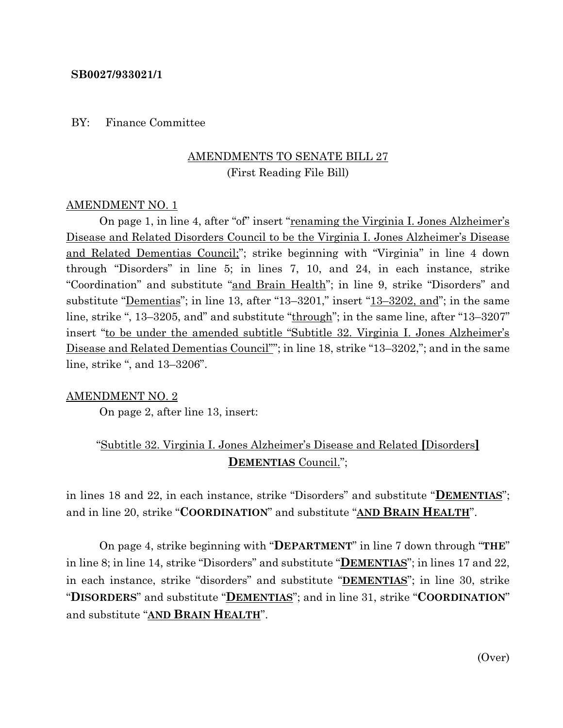### **SB0027/933021/1**

#### BY: Finance Committee

# AMENDMENTS TO SENATE BILL 27 (First Reading File Bill)

## AMENDMENT NO. 1

On page 1, in line 4, after "of" insert "renaming the Virginia I. Jones Alzheimer's Disease and Related Disorders Council to be the Virginia I. Jones Alzheimer's Disease and Related Dementias Council;"; strike beginning with "Virginia" in line 4 down through "Disorders" in line 5; in lines 7, 10, and 24, in each instance, strike "Coordination" and substitute "and Brain Health"; in line 9, strike "Disorders" and substitute "<u>Dementias</u>"; in line 13, after "13–3201," insert "13–3202, and"; in the same line, strike ", 13–3205, and" and substitute "through"; in the same line, after "13–3207" insert "to be under the amended subtitle "Subtitle 32. Virginia I. Jones Alzheimer's Disease and Related Dementias Council""; in line 18, strike "13-3202,"; and in the same line, strike ", and 13–3206".

### AMENDMENT NO. 2

On page 2, after line 13, insert:

# "Subtitle 32. Virginia I. Jones Alzheimer's Disease and Related **[**Disorders**] DEMENTIAS** Council.";

in lines 18 and 22, in each instance, strike "Disorders" and substitute "**DEMENTIAS**"; and in line 20, strike "**COORDINATION**" and substitute "**AND BRAIN HEALTH**".

On page 4, strike beginning with "**DEPARTMENT**" in line 7 down through "**THE**" in line 8; in line 14, strike "Disorders" and substitute "**DEMENTIAS**"; in lines 17 and 22, in each instance, strike "disorders" and substitute "**DEMENTIAS**"; in line 30, strike "**DISORDERS**" and substitute "**DEMENTIAS**"; and in line 31, strike "**COORDINATION**" and substitute "**AND BRAIN HEALTH**".